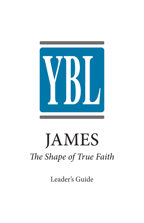

# JAMES *The Shape of True Faith*

Leader's Guide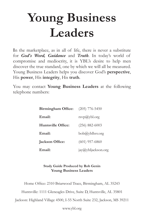## **Young Business Leaders**

**I**n the marketplace, as in all of life, there is never a substitute for *God's Word, Guidance* and *Truth*. In today's world of compromise and mediocrity, it is YBL's desire to help men discover the true standard, one by which we will all be measured. Young Business Leaders helps you discover God's **perspective**, His **power**, His **integrity**, His **truth**.

You may contact **Young Business Leaders** at the following telephone numbers:

|        | Birmingham Office: | $(205)$ 776-5450          |
|--------|--------------------|---------------------------|
| Email: |                    | $rsvp$ (a)ybl.org         |
|        | Huntsville Office: | $(256)$ 882-6003          |
| Email: |                    | bob( <i>a</i> )yblhsv.org |
|        | Jackson Office:    | $(601)$ 957-6860          |
| Email: |                    | jay@ybljackson.org        |

#### **Study Guide Produced by Rob Genin Young Business Leaders**

Home Office: 2310 Briarwood Trace, Birmingham, AL 35243

Huntsville: 1111 Gleneagles Drive, Suite D, Huntsville, AL 35801

Jackson: Highland Village 4500, I-55 North Suite 232, Jackson, MS 39211

www.ybl.org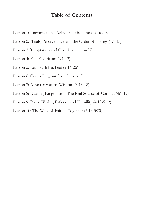## **Table of Contents**

- Lesson 1: Introduction—Why James is so needed today
- Lesson 2: Trials, Perseverance and the Order of Things (1:1-13)
- Lesson 3: Temptation and Obedience (1:14-27)
- Lesson 4: Flee Favoritism (2:1-13)
- Lesson 5: Real Faith has Feet (2:14-26)
- Lesson 6: Controlling our Speech (3:1-12)
- Lesson 7: A Better Way of Wisdom (3:13-18)
- Lesson 8: Dueling Kingdoms The Real Source of Conflict (4:1-12)
- Lesson 9: Plans, Wealth, Patience and Humility (4:13-5:12)
- Lesson 10: The Walk of Faith Together (5:13-5:20)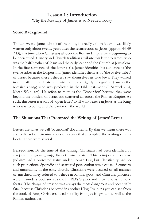#### **Lesson 1 : Introduction** Why the Message of James is so Needed Today

#### **Some Background**

Though we call James a book of the Bible, it is really a short letter. It was likely written only about twenty years after the resurrection of Jesus (approx. 44-49 AD), at a time when Christians all over the Roman Empire were beginning to be persecuted. History and Church tradition attribute this letter to James, who was the half-brother of Jesus and the early leader of the Church at Jerusalem. In the first sentence of the letter (1:1), James identifies his audience as 'the twelve tribes in the Dispersion'. James identifies them as of 'the twelve tribes' of Israel because these believers saw themselves as true Jews. They walked in the path of the Historic Jewish faith, and rightly recognized Jesus as the Messiah (King) who was predicted in the Old Testament (2 Samuel 7:14, Micah 5:2-4, etc). He refers to them as the 'Dispersion' because they were beyond the borders of Israel and scattered all across the Roman Empire. As such, this letter is a sort of 'open letter' to all who believe in Jesus as the King who was to come, and the Savior of the world.

#### **The Situations That Prompted the Writing of James' Letter**

Letters are what we call 'occasional' documents. By that we mean there was a specific set of circumstances or events that prompted the writing of this book. There were several:

**Persecution:** By the time of this writing, Christians had been identified as a separate religious group, distinct from Judaism. This is important because Judaism had a protected status under Roman Law, but Christianity had no such protections. Sporadic and scattered persecution was a cause of concern and uncertainty in the early church. Christians were accused of all manner of mischief. They refused to believe in Roman gods, and Christian practices were misunderstood, such as the LORD's Supper and their fellowship 'love feasts'. The charge of treason was always the most dangerous and potentially fatal, because Christians believed in another King, Jesus. As you can see from the book of Acts, Christians faced hostility from Jewish groups as well as the Roman authorities.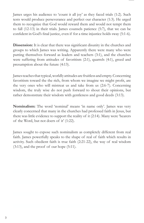James urges his audience to 'count it all joy' as they faced trials (1:2). Such tests would produce perseverance and perfect our character (1:3). He urged them to recognize that God would reward them and would not tempt them to fall (12-13) in their trials. James counsels patience (5:7), that we can be confident in God's final justice, even if for a time injustice holds sway (5:1-6).

**Dissension:** It is clear that there was significant disunity in the churches and groups to which James was writing. Apparently there were many who were putting themselves forward as leaders and teachers (3:1), and the churches were suffering from attitudes of favoritism (2:1), quarrels (4:1), greed and presumption about the future (4:13).

James teaches that typical, worldly attitudes are fruitless and empty. Concerning favoritism toward the the rich, from whom we imagine we might profit, are the very ones who will mistreat us and take from us (2:6-7). Concerning wisdom, the truly wise do not push forward to shout their opinions, but rather demonstrate their wisdom with gentleness and good deeds (3:13).

**Nominalism:** The word 'nominal' means 'in name only'. James was very clearly concerned that many in the churches had professed faith in Jesus, but there was little evidence to support the reality of it (2:14). Many were 'hearers of the Word, but not doers of it' (1:22).

James sought to expose such nominalism as completely different from real faith. James powerfully speaks to the shape of real of faith which results in activity. Such obedient faith is true faith (2:21-22), the way of real wisdom  $(3:13)$ , and the proof of our hope  $(5:11)$ .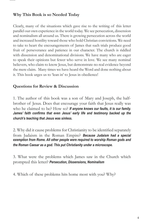#### **Why This Book is so Needed Today**

Clearly, many of the situations which gave rise to the writing of this letter parallel our own experience in the world today. We see persecution, dissension and nominalism all around us. There is growing persecution across the world and increased hostility toward those who hold Christian convictions. We need to take to heart the encouragements of James that such trials produce good fruit of perseverance and patience in our character. The church is riddled with dissension and denominational divisions. We have many who are eager to speak their opinions but fewer who serve in love. We see many nominal believers, who claim to know Jesus, but demonstrate no real evidence beyond the mere claim. Many times we have heard the Word and done nothing about it. This book urges us to 'lean in' to Jesus in obedience!

#### **Questions for Review & Discussion**

1. The author of this book was a son of Mary and Joseph, the halfbrother of Jesus. Does that encourage your faith that Jesus really was who he claimed to be? How so? *If anyone knows our faults, it is our family. James' faith confirms that even Jesus' early life and testimony backed up the church's teaching that Jesus was sinless.*

2. Why did it cause problems for Christianity to be identified separately from Judaism in the Roman Empire? *Because Judaism had a special exemption from Rome. All other people were required to worship Roman gods and the Roman Caesar as a god. This put Christianity under a microscope.*

3. What were the problems which James saw in the Church which prompted this letter? *Persecution, Dissensions, Nominalism*

4. Which of these problems hits home most with you? Why?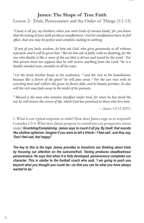## **James: The Shape of True Faith**

Lesson 2: Trials, Perseverance and the Order of Things (1:1-13)

<sup>2</sup> Count it all joy, my brothers, when you meet trials of various kinds,<sup>3</sup> for you know *that the testing of your faith produces steadfastness.4 And let steadfastness have its full effect, that you may be perfect and complete, lacking in nothing.*

*5 If any of you lacks wisdom, let him ask God, who gives generously to all without reproach, and it will be given him. 6 But let him ask in faith, with no doubting, for the one who doubts is like a wave of the sea that is driven and tossed by the wind. 7 For that person must not suppose that he will receive anything from the Lord; 8 he is a double-minded man, unstable in all his ways.*

*9 Let the lowly brother boast in his exaltation, 10 and the rich in his humiliation, because like a flower of the grass<sup>[c]</sup> he will pass away.* <sup>11</sup> For the sun rises with its *scorching heat and withers the grass; its flower falls, and its beauty perishes. So also will the rich man fade away in the midst of his pursuits.*

<sup>12</sup> Blessed is the man who remains steadfast under trial, for when he has stood the *test he will receive the crown of life, which God has promised to those who love him.* 

----James 1:2-12 (ESV)

1. What is our typical response to trials? How does James urge us to respond? Consider 1:3-4. What does James propose to transform our perspective about trials? *Grumbling/Complaining. James says to count it all joy. By itself, that sounds like shallow optimism. Imagine if you were to tell a friend—'I feel sad', and they say, 'Don't feel sad, feel happy!'*

*The key to this is the logic James provides to transform our thinking about trials by focusing our attention on the outcome/fruit. Testing produces steadfastness/ perseverance. He says that when it is fully developed, perseverance completes our character. This is similar to the football coach who said, 'I am going to push you beyond what you thought you could do—so that you can be what you have always wanted to be.'*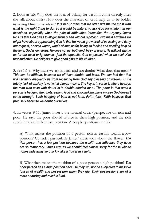2. Look at 1:5. Why does the idea of asking for wisdom come directly after the talk about trials? How does the character of God help us to be bolder in asking Him for wisdom? *It is in our trials that we often wrestle the most with what is the right thing to do. So it would be natural to ask God for wisdom in our decisions, especially when the pain of difficulties intensifies the urgency.James tells us that God gives to all generously and without reproach. Two main anxieties we might have about approaching God is that He would grow tired of us asking and deny our request, or even worse, would shame us for being so foolish and needing help all the time. God is generous. He does not get bothered, busy or weary. He will not shame us for our need or ignorance—just the opposite. God is pleased when we seek Him first and often. He delights to give good gifts to his children.* 

3. See 1:6-8. Why must we ask in faith and not doubt? What does that mean? *This can be difficult, because we all have doubts and fears. We can feel that this will certainly disqualify us from receiving from God any blessing of wisdom. But a totally lack of anxiety is not what James means. The key is in verse 8, where he says the man who asks with doubt is 'a double minded man'. The point is that such a person is hedging their bets, asking God and also making plans in case God doesn't come through. Such hedging of bets is not faith. Faith risks. Faith believes God precisely because we doubt ourselves.*

4. In verses 9-11, James inverts the normal order/perspective on rich and poor. He says the poor should rejoice in their high position, and the rich should rejoice in their low position. A couple questions on this:

A) What makes the position of a person rich in earthly wealth a low position? Consider particularly James' illustration about the flower. *The rich person has a low position because the wealth and influence they have are so temporary. James argues we should feel almost sorry for those whose riches fade away so quickly, like a flower in a field.* 

B) What then makes the position of a poor person a high position? *The poor person has a high position because they will not be subjected to massive losses of wealth and possession when they die. Their possessions are of a more enduring and reliable kind.*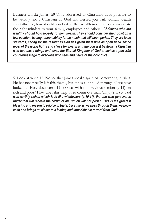Business Block: James 1:9-11 is addressed to Christians. It is possible to be wealthy and a Christian? If God has blessed you with worldly wealth and influence, how should you look at that wealth in order to communicate the right mindset to your family, employees and others? *Christians who are wealthy should hold loosely to their wealth. They should consider their position a low position, having responsibility for so much that will soon perish. They are to be stewards, caring for the resources God has given them with an open hand. Since most of the world fights and claws for wealth and the power it bestows, a Christian who has these things and loves the Eternal Kingdom of God preaches a powerful countermessage to everyone who sees and hears of their conduct.*

5. Look at verse 12. Notice that James speaks again of persevering in trials. He has never really left this theme, but it has continued through all we have looked at. How does verse 12 connect with the previous section (9-11) on rich and poor? How does this help us to count our trials 'all joy'? *In contrast with earthly riches which fade like wildflowers (1:10-11), the one who perseveres under trial will receive the crown of life, which will not perish. This is the greatest blessing and reason to rejoice in trials, because as we pass through them, we know each one brings us closer to a lasting and imperishable reward from God.*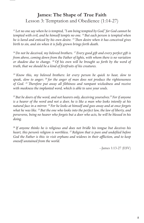## **James: The Shape of True Faith** Lesson 3: Temptation and Obedience (1:14-27)

*13 Let no one say when he is tempted, "I am being tempted by God," for God cannot be tempted with evil, and he himself tempts no one. 14 But each person is tempted when he is lured and enticed by his own desire. 15 Then desire when it has conceived gives birth to sin, and sin when it is fully grown brings forth death.*

*16 Do not be deceived, my beloved brothers. 17 Every good gift and every perfect gift is from above, coming down from the Father of lights, with whom there is no variation or shadow due to change. 18 Of his own will he brought us forth by the word of truth, that we should be a kind of firstfruits of his creatures.*

<sup>19</sup> Know this, my beloved brothers: let every person be quick to hear, slow to *speak, slow to anger; 20 for the anger of man does not produce the righteousness of God. 21 Therefore put away all filthiness and rampant wickedness and receive with meekness the implanted word, which is able to save your souls.*

<sup>22</sup> But be doers of the word, and not hearers only, deceiving yourselves.<sup>23</sup> For if anyone *is a hearer of the word and not a doer, he is like a man who looks intently at his natural face in a mirror. 24 For he looks at himself and goes away and at once forgets what he was like. 25 But the one who looks into the perfect law, the law of liberty, and perseveres, being no hearer who forgets but a doer who acts, he will be blessed in his doing.*

*26 If anyone thinks he is religious and does not bridle his tongue but deceives his heart, this person's religion is worthless. 27 Religion that is pure and undefiled before God the Father is this: to visit orphans and widows in their affliction, and to keep oneself unstained from the world.*

--James 1:13-27 (ESV)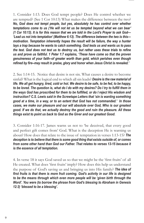1. Consider 1:13. Does God tempt people? Does He control whether we are tempted? (See 1 Cor 10:13) What makes the difference between the two? *No, God does not tempt people, but yes, absolutely he has control over whether temptations come to us ('He will not let us be tempted beyond what we can bear' (1 Cor 10:13). It is for this reason that we are told in the Lord's Prayer to ask God— 'Lead us not into temptation' (Matthew 6:13). The difference between the two is this motivation. Temptation inherently hopes the result will be failure, the way a hunter lays a trap because he wants to catch something. God tests us and wants us to pass the test. God does not test us to destroy us, but rather uses these trials to refine us and prove us faithful. 1 Peter 1:7 explains, 'These have come so that the proven genuineness of your faith--of greater worth than gold, which perishes even though refined by fire--may result in praise, glory and honor when Jesus Christ is revealed.'*

2. See 1:14-15. Notice that desire is not sin. What causes a desire to become sinful? What is the logical end to which all sin leads? *Desire is the raw material of life. We all get hungry, tired, cold or hot. We desire to be safe, to be fed, to be happy, to be loved. The question is, what do I do with my desires? Do I try to fulfill them in the ways God has proscribed for them to be fulfilled, or do I reject His wisdom and instruction? C.S. Lewis said in the Screwtape Letters that 'sin is wanting something good at a time, in a way, or to an extent that God has not commanded.' In those cases, we make our pleasure and our will absolute over God, Who is our greatest good. If we do that, we actually destroy the good and ruin the pleasure. All these things exist to point us back to God as the Giver and our greatest Good.*

3. Consider 1:16-17. James warns us not to 'be deceived, that every good and perfect gift comes from' God. What is the deception He is warning us about? How does that relate to the issue of temptation in verses 1:13-15? *The deception is to believe that there is some good thing that exists outside of, or comes from some other hand than God our Father. That relates to verses 13-15 because it is the essence of all temptation.*

4. In verse 18 it says God saved us so that we might be the 'first fruits' of all He created. What does 'first fruits' imply? How does this help us understand the purpose of God's saving us and bringing us into His family? *The idea of first fruits is that there is more fruit coming. God's activity in our life is designed to be the means through which even more people will be 'given birth through the Word'. You were (to borrow the phrase from God's blessing to Abraham in Genesis 12:3) 'blessed to be a blessing'.*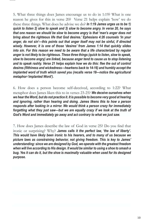5. What three things does James encourage us to do in 1:19? What is one reason he gives for this in verse 20? Verse 21 helps explain 'how' we do these three things. What does he advise we do? *In 1:19 James urges us to be 1) quick to listen 2) slow to speak and 3) slow to become angry. In verse 20, he says that one reason we should be slow to become angry is that 'man's anger does not bring about the righteous life that God desires.' Ephesians 4:26 counsels 'In your anger, do not sin'—this points out that anger itself may not be sinful, if directed wisely. However, it is one of those 'desires' from James 1:14 that quickly slides into sin. For this reason we need to be aware that a life characterized by regular anger is not likely to be righteous. These three things (quick to listen, slow to speak, slow to become angry) are linked, because anger tend to cause us to stop listening and to speak rashly. Verse 21 helps explain how we do this: flee the out of control desires (filthiness and wickedness—hearkens back to 14-16) and humbly accept the implanted word of truth which saved you (recalls verse 18—notice the agricultural metaphor-'implanted Word').* 

6. How does a person become self-deceived, according to 1:22? What metaphor does James liken this to in verses 23-25? *We deceive ourselves when we hear the Word, but do not practice it. It is possible to become very good at hearing and ignoring, rather than hearing and doing. James likens this to how a person responds after looking in a mirror. We would think a person crazy for immediately forgetting what they just saw—but we are equally crazy if we look at the truth of God's Word and immediately go away and act contrary to what we just saw.*

7. How does James describe the law of God in verse 25? Do you find that ironic or surprising? Why? *James calls it the perfect law, 'the law of liberty'. This would have likely been ironic to his hearers, and to many of us because we picture laws as constraining behavior, not giving freedom. This is key to James' understanding: since we are designed by God, we operate with the greatest freedom when will live according to His design. It would be similar to using a shoe to smash a bug. Yes it can do it, but the shoe is maximally valuable when used for its designed purpose.*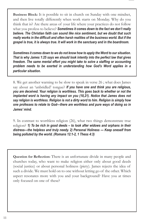**Business Block:** It is possible to sit in church on Sunday with one mindset, and then live totally differently when work starts on Monday. Why do you think that is? Are there areas of your life where your practices do not follow what you profess to believe? *Sometimes it comes down to the fact we don't really believe. The Christian faith can sound like nice sentiment, but we doubt that such really works in the difficult and often harsh realities of the business world. But if the gospel is true, it is always true. It will work in the sanctuary and in the boardroom.*

*Sometimes it comes down to we do not know how to apply the Word to our situation. That is why James 1:25 says we should look intently into the perfect law that gives freedom. The same mental effort you might take to solve a staffing or accounting problem needs to be exerted in understanding how God's Word applies in a particular situation.*

8. We get another warning to be slow to speak in verse 26 ; what does James say about an 'unbridled' tongue? *If you have one and think you are religious, you are deceived. Your religion is worthless. This goes back to whether or not the implanted word is having any impact on you (18,21). Notice that James does not say religion is worthless. Religion is not a dirty word to him. Religion is simply how one professes to relate to God—there are worthless and pure ways of doing so in James' mind.*

9. In contrast to worthless religion (26), what two things demonstrate true religion? *1) To be rich in good deeds – to look after widows and orphans in their distress—the helpless and truly needy. 2) Personal Holiness --- Keep oneself from being polluted by the world. (Romans 12:1-2, 1 Thess 4:3)*

**Question for Reflection:** There is an unfortunate divide in many people and churches today, who want to make religion either only about good deeds (social justice) or about personal holiness (piety). James rejects the idea of such a divide. We must hold on to one without letting go of the other. Which aspect resonates more with you and your background? Have you at times only focused on one of these?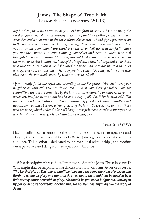## **James: The Shape of True Faith** Lesson 4: Flee Favoritism (2:1-13)

*My brothers, show no partiality as you hold the faith in our Lord Jesus Christ, the*  Lord of glory. <sup>2</sup> For if a man wearing a gold ring and fine clothing comes into your *assembly, and a poor man in shabby clothing also comes in, 3 and if you pay attention to the one who wears the fine clothing and say, "You sit here in a good place," while you say to the poor man, "You stand over there," or, "Sit down at my feet," 4 have you not then made distinctions among yourselves and become judges with evil thoughts? 5 Listen, my beloved brothers, has not God chosen those who are poor in the world to be rich in faith and heirs of the kingdom, which he has promised to those who love him? 6 But you have dishonored the poor man. Are not the rich the ones who oppress you, and the ones who drag you into court? 7 Are they not the ones who blaspheme the honorable name by which you were called?*

*8 If you really fulfill the royal law according to the Scripture, "You shall love your neighbor as yourself," you are doing well. 9 But if you show partiality, you are committing sin and are convicted by the law as transgressors. 10 For whoever keeps the whole law but fails in one point has become guilty of all of it. 11 For he who said, "Do not commit adultery," also said, "Do not murder." If you do not commit adultery but do murder, you have become a transgressor of the law. 12 So speak and so act as those who are to be judged under the law of liberty. 13 For judgment is without mercy to one who has shown no mercy. Mercy triumphs over judgment.*

James 2:1-13 (ESV)

Having called our attention to the importance of rejecting temptation and obeying the truth as revealed in God's Word, James gets very specific with his audience. This section is dedicated to interpersonal relationships, and rooting out a pervasive and dangerous temptation – favoritism.

1. What descriptive phrase does James use to describe Jesus Christ in verse 1? Why might that be important in a discussion on favoritism? *James calls Jesus, 'The Lord of glory'. This title is significant because we serve the King of Heaven and Earth, to whom all glory and honor is due—as such, we should not be dazzled by a little earthly honor or wealth or glory. We should be just in our judgments, unswayed by personal power or wealth or charisma, for no man has anything like the glory of Jesus.*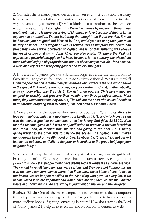2. Consider the scenario James describes in verses 2-4. If you show partiality to a person in fine clothes or dismiss a person in shabby clothes, in what way are you acting as judges (4)? What kinds of assumptions are being made which James calls 'evil thoughts' (4)? We act as judges by declaring, through our *treatment, that one is more deserving of kindness or love because of their external appearance or situation. We are harboring the thought that if you are rich, it must be because you are good and blessed by God, and if you are poor, then you must be lazy or under God's judgment. Jesus refuted this assumption that health and prosperity were always correlated to righteousness, or that suffering was always the result of personal sin in John 9:1-3. See also Psalm 73, where the Psalmist expresses a powerful struggle in his heart because, to the contrary, the wicked are often rich and enjoy a disproportionate amount of blessing in this life—for a season. A wise man rejects the prosperity gospel and its evil thoughts.*

3. In verses 5-7, James gives us substantial logic to refute the temptation to favoritism. He gives us four specific reasons why we should. What are they? *1) Often the poor are rich in faith – many times those who suffer are the ones who believe in the gospel 2) Therefore the poor may be your brother in Christ, mathematically, anyway, more often than the rich. 3) The rich often oppress Christians – they are tempted to worship and preserve their wealth, even through unjust means. Most often, they want more than they have. 4) The rich are the ones who cause Christians harm through dragging them to court 5) The rich often blaspheme Christ*

4. Verse 8 explains the positive alternative to favoritism. What is it? *We are to love our neighbor, which is a quotation from Leviticus 19:19, and which Jesus said was the second greatest commandment next to loving God (Matt 22:38-39). Note that the reasons given in 5-7 were not justification to practice a reverse favoritism like Robin Hood, of robbing from the rich and giving to the poor. He is simply giving weight to the other side to balance the scales. The righteous man makes no judgment based on wealth, good or bad. Leviticus 19:15 says, "'Do not pervert justice; do not show partiality to the poor or favoritism to the great, but judge your neighbor fairly."*

5. Verses 9-13 say that if you break one part of the law, you are guilty of breaking all of it. Why might James include such a stern warning at this point? *It is likely that people might have dismissed a favoritism as a harmless vice. They might have felt like other sins were serious, but they were not fighting this sin with the same concern. James warns that if we allow these kinds of sins to live in our hearts, we are in open rebellion to the Wise King who gave us every law. If we decide which laws are important and which ones are not, then we are the ultimate rulers in our own minds. We are sitting in judgment on the law and the lawgiver.* 

**Business Block:** One of the main temptations to favoritism is the assumption that rich people have something to offer us. Are you tempted to treat the wealthy more kindly in hopes of getting something in return? How does serving the Lord of Glory (James 2:1) help us to reject that motivation for favoritism as well?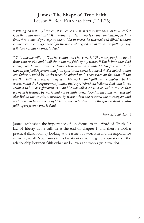## **James: The Shape of True Faith** Lesson 5:Real Faith has Feet (2:14-26)

*14 What good is it, my brothers, if someone says he has faith but does not have works? Can that faith save him? 15 If a brother or sister is poorly clothed and lacking in daily food, 16 and one of you says to them, "Go in peace, be warmed and filled," without giving them the things needed for the body, what goodis that? 17 So also faith by itself, if it does not have works, is dead.*

*18 But someone will say, "You have faith and I have works." Show me your faith apart from your works, and I will show you my faith by my works. 19 You believe that God is one; you do well. Even the demons believe—and shudder! 20 Do you want to be shown, you foolish person, that faith apart from works is useless? 21 Was not Abraham our father justified by works when he offered up his son Isaac on the altar?* <sup>22</sup> You *see that faith was active along with his works, and faith was completed by his works; 23 and the Scripture was fulfilled that says, "Abraham believed God, and it was counted to him as righteousness"—and he was called a friend of God. 24 You see that a person is justified by works and not by faith alone. 25 And in the same way was not also Rahab the prostitute justified by works when she received the messengers and sent them out by another way? 26 For as the body apart from the spirit is dead, so also faith apart from works is dead.*

*James 2:14-26 (ESV)*

James established the importance of obedience to the Word of Truth (or law of liberty, as he calls it) at the end of chapter 1, and then he took a practical illustration by looking at the issue of favoritism and the importance of mercy to all. Now James turns his attention to the general question of the relationship between faith (what we believe) and works (what we do).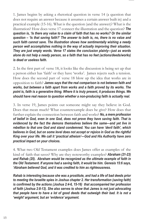1. James begins by asking a rhetorical question in verse 14 (a question that does not require an answer because it assumes a certain answer built in) and a practical example (15-16). What is the question (and the answer)? What is the illustration? How does verse 17 connect the illustration and the question? *The question is, 'Is there any value to a claim of faith that has no works? Or the similar question – 'Is that saving faith?' The answer to both is, no, there is no value and such faith cannot save. The illustration shows how sentimentally wishing a needy person well accomplishes nothing in the way of actually improving their situation. They are just empty words. Verse 17 states the conclusion plainly—just as words alone do not help a needy person, so a faith that has no feet (actions/deeds/works) is dead or useless faith.*

2. In the first part of verse 18, it looks like the discussion is being set up that a person either has 'faith' or they have 'works'. James rejects such a tension. How does the second part of verse 18 blow up the idea that works are in opposition to faith? *James says that the real comparison is not between faith and works, but between a faith apart from works and a faith proved by its works. The point is, faith is a generative thing. Where it is truly present, it produces things. We should have real reason to question whether a non-producing faith is actually real.*

3. In verse 19, James points out someone might say they believe in God. Does that mean much? What counterexample does he give? How does that further explain the connection between faith and works? *No, a mere profession of belief in God, even in one God, does not prove they have saving faith. That is evidenced by the fact the demons themselves believe the same—and yet live in rebellion to that one God and stand condemned. You can have 'devil faith', which believes in God, but on some level does not accept or rejoice in God as the rightful King over your life. We call it 'practical atheism'—God and His Authority have zero practical impact on your choices.*

4. What two Old Testament examples does James offer as examples of the kind of faith that saves? Why are they noteworthy examples? *Abraham (21-23) and Rahab (25). Abraham would be recognized as the ultimate example of faith in the Old Testament. If anyone had a saving faith, it would be him. Genesis 15:6 says, 'Abraham believed God, and it was credited to him as righteousness.*

*Rahab is interesting because she was a prostitute, and had a life of bad deeds prior to meeting the Israelite spies in Joshua chapter 2. Her transformation (saving faith) is confirmed by the actions (Joshua 2:4-6, 15-16) that accompanied her profession of faith (Joshua 2:8-13). She also serves to show that James is not just advocating*  that people have to have a lot of good deeds that outweigh their bad. It is not a *'weight' argument, but an 'evidence' argument.*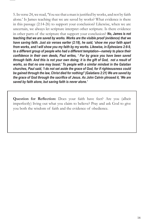5. In verse 24, we read, 'You see that a man is justified by works, and not by faith alone.' Is James teaching that we are saved by works? What evidence is there in this passage (2:14-26) to support your conclusion? Likewise, when we are uncertain, we always let scripture interpret other scripture. Is there evidence in other parts of the scripture that support your conclusion? *No, James is not teaching that we are saved by works. Works are the visible proof (evidence) that we have saving faith. Just six verses earlier (2:18), he said, 'show me your faith apart from works, and I will show you my faith by my works. Likewise, in Ephesians 2:8-9, to a different group of people who had a different temptation—namely to place their confidence in their own deeds, Paul writes, ' For by grace you have been saved through faith. And this is not your own doing; it is the gift of God, not a result of works, so that no one may boast.' To people with a similar mindset in the Galatian churches, Paul said, 'I do not set aside the grace of God, for if righteousness could be gained through the law, Christ died for nothing!' (Galatians 2:21) We are saved by the grace of God through the sacrifice of Jesus. As John Calvin phrased it, 'We are saved by faith alone, but saving faith is never alone.'*

**Question for Reflection:** Does your faith have feet? Are you (albeit imperfectly) living out what you claim to believe? Pray and ask God to give you both the wisdom of faith and the evidence of obedience.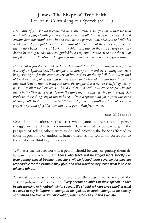## **James: The Shape of True Faith** Lesson 6: Controlling our Speech (3:1-12)

*Not many of you should become teachers, my brothers, for you know that we who teach will be judged with greater strictness. 2 For we all stumble in many ways. And if anyone does not stumble in what he says, he is a perfect man, able also to bridle his whole body. 3 If we put bits into the mouths of horses so that they obey us, we guide their whole bodies as well. 4 Look at the ships also: though they are so large and are driven by strong winds, they are guided by a very small rudder wherever the will of the pilot directs. 5 So also the tongue is a small member, yet it boasts of great things.*

*How great a forest is set ablaze by such a small fire! 6 And the tongue is a fire, a world of unrighteousness. The tongue is set among our members, staining the whole body, setting on fire the entire course of life, and set on fire by hell. 7 For every kind of beast and bird, of reptile and sea creature, can be tamed and has been tamed by mankind,8 but no human being can tame the tongue. It is a restless evil, full of deadly poison. 9 With it we bless our Lord and Father, and with it we curse people who are made in the likeness of God. 10 From the same mouth come blessing and cursing. My brothers, these things ought not to be so. 11 Does a spring pour forth from the same opening both fresh and salt water? 12 Can a fig tree, my brothers, bear olives, or a grapevine produce figs? Neither can a salt pond yield fresh water.*

James 3:1-12 (ESV)

One of the situations in this letter which James addresses was a power struggle in this Christian community. Many wanted to be teachers, in the prospect of telling others what to do, and enjoying the honor afforded to those in positions of authority. James offers strong words of correction to those who are thinking in this way.

1. What is the first reason why a person should be wary of putting themself forward as a teacher (3:1)? *Those who teach will be judged more strictly. Far from getting special treatment, teachers will be judged more severely, for they are*  responsible for the example they give, and also whether they teach what is true or *mislead others.*

2. What does verse 2 point out as one of the reasons to be wary of the stricter judgment of a teacher? *Every person stumbles in their speech—either by misspeaking or in outright sinful speech. We should ask ourselves whether what we have to say is important enough to be spoken, accurate enough to be closely scrutinized and from a right motivation, which God can and will evaluate.*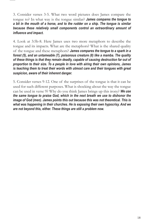3. Consider verses 3-5. What two word pictures does James compare the tongue to? In what way is the tongue similar? *James compares the tongue to a bit in the mouth of a horse, and to the rudder on a ship. The tongue is similar because these relatively small components control an extraordinary amount of influence and impact.*

4. Look at 3:5b-8. Here James uses two more metaphors to describe the tongue and its impacts. What are the metaphors? What is the shared quality of the tongue and these metaphors? *James compares the tongue to a spark in a forest (5), and an untameable (7), poisonous creature (8) like a mamba. The quality of these things is that they remain deadly, capable of causing destruction far out of proportion to their size. To a people in love with airing their own opinions, James is teaching them to treat their words with utmost care and their tongues with great suspicion, aware of their inherent danger.* 

5. Consider verses 9-12. One of the surprises of the tongue is that it can be used for such different purposes. What is shocking about the way the tongue can be used in verse 9? Why do you think James brings up this irony? *We use the same tongue to praise God, which in the next breath we use to dishonor the image of God (men). James points this out because this was not theoretical. This is what was happening in their churches. He is exposing their own hypocrisy. And we are not beyond this, either. These things are still a problem now.*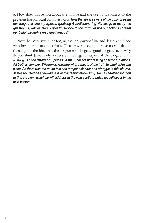6. How does this lesson about the tongue and the use of it connect to the previous lesson, 'Real Faith has Feet?' *Now that we are aware of the irony of using our tongue at cross purposes (praising God/dishonoring His Image in men), the question is, will we merely give lip service to this truth, or will our actions confirm our belief through a restrained tongue?*

7. Proverbs 18:21 says, 'The tongue has the power of life and death, and those who love it will eat of its fruit.' That proverb seems to have more balance, focusing on the idea that the tongue can do great good or great evil. Why do you think James only focuses on the negative aspect of the tongue in his writing? *All the letters or 'Epistles' in the Bible are addressing specific situations. All truth is complex. Wisdom is knowing what aspects of the truth to emphasize and when. As there was too much talk and rampant slander and struggle in this church, James focused on speaking less and listening more (1:19). He has another solution to this problem, which he will address in the next section, which we will cover in the next lesson.*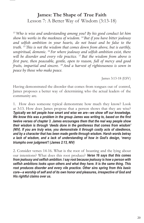## **James: The Shape of True Faith** Lesson 7: A Better Way of Wisdom (3:13-18)

*13 Who is wise and understanding among you? By his good conduct let him show his works in the meekness of wisdom. 14 But if you have bitter jealousy and selfish ambition in your hearts, do not boast and be false to the truth. 15 This is not the wisdom that comes down from above, but is earthly, unspiritual, demonic. 16 For where jealousy and selfish ambition exist, there will be disorder and every vile practice. 17 But the wisdom from above is first pure, then peaceable, gentle, open to reason, full of mercy and good fruits, impartial and sincere. 18 And a harvest of righteousness is sown in peace by those who make peace.*

James 3:13-18 (ESV)

Having demonstrated the disorder that comes from tongues out of control, James proposes a better way of determining who the actual leaders of the community are.

1. How does someone typical demonstrate how much they know? Look at 3:13. How does James propose that a person shows that they are wise? *Typically we tell people how smart and wise we are—we show off our knowledge. We know this was a problem in the group James was writing to, based on the first twelve verses of chapter 3. James encourages them that the real way people show their wisdom is through 'deeds done in the gentleness that comes from wisdom' (NIV). If you are truly wise, you demonstrate it through costly acts of obedience, and by a character that has been made gentle through wisdom. Harsh words betray a lack of wisdom, and a lack of understanding of how in God's design, 'mercy triumphs over judgment'! (James 2:13, NIV)*

2. Consider verses 14-16. What is the root of boasting and the lying about our intentions? What does this root produce? *Verse 16 says that this comes from jealousy and selfish ambition. I say root because jealousy is how a person with selfish ambitions looks upon others and what they have. It is the same thing. This root produces disorder and every vile practice. Other sins spring from this basic core—a worship of self and of its own honor and pleasures, irrespective of God and His rightful claims over us.*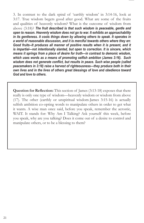3. In contrast to the dark spiral of 'earthly wisdom' in 3:14-16, look at 3:17. True wisdom begets good after good. What are some of the fruits and qualities of heavenly wisdom? What is the outcome of wisdom from above (3:18)? *The fruit described is that such wisdom is peaceable, gentle and open to reason. Heavenly wisdom does not go to war. It exhibits an approachability in its gentleness. it cools things down by allowing others to speak. It operates in a world of reasonable discussion, and it is merciful towards others where they err. Good fruits--It produces all manner of positive results when it is present, and it is impartial—not intentionally slanted, but open to correction. It is sincere, which means it springs from a place of desire for truth—in contrast to demonic wisdom, which uses words as a means of promoting selfish ambition (James 3:16). Such wisdom does not generate conflict, but results in peace. Such wise people (called peacemakers in 3:18) raise a harvest of righteousness—they produce both in their own lives and in the lives of others great blessings of love and obedience toward God and love to others.*

**Question for Reflection:** This section of James (3:13-18) exposes that there really is only one type of wisdom—heavenly wisdom or wisdom from above (17). The other (earthly or unspiritual wisdom-James 3:15-16) is actually selfish ambition co-opting words to manipulate others in order to get what it wants. A wise man once said, before you speak, remember the acrostic, WAIT. It stands for: Why Am I Talking? Ask yourself this week, before you speak, why are you talking? Does it come out of a desire to control and manipulate others, or to be a blessing to them?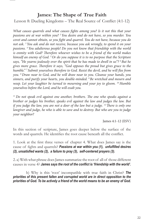#### **James: The Shape of True Faith**

Lesson 8: Dueling Kingdoms – The Real Source of Conflict (4:1-12)

What causes quarrels and what causes fights among you? Is it not this that your *passions are at war within you? 2 You desire and do not have, so you murder. You covet and cannot obtain, so you fight and quarrel. You do not have, because you do not ask. 3 You ask and do not receive, because you ask wrongly, to spend it on your passions. 4 You adulterous people! Do you not know that friendship with the world is enmity with God? Therefore whoever wishes to be a friend of the world makes himself an enemy of God. 5 Or do you suppose it is to no purpose that the Scripture says, "He yearns jealously over the spirit that he has made to dwell in us"? 6 But he gives more grace. Therefore it says, "God opposes the proud but gives grace to the humble." 7 Submit yourselves therefore to God. Resist the devil, and he will flee from you. 8 Draw near to God, and he will draw near to you. Cleanse your hands, you sinners, and purify your hearts, you double-minded. 9 Be wretched and mourn and weep. Let your laughter be turned to mourning and your joy to gloom. 10 Humble yourselves before the Lord, and he will exalt you.*

*11 Do not speak evil against one another, brothers. The one who speaks against a brother or judges his brother, speaks evil against the law and judges the law. But if you judge the law, you are not a doer of the law but a judge. 12 There is only one lawgiver and judge, he who is able to save and to destroy. But who are you to judge your neighbor?*

James 4:1-12 (ESV)

In this section of scripture, James goes deeper below the surface of the words and quarrels. He identifies the root cause beneath all the conflict.

1. Look at the first three verses of chapter 4. What does James say is the cause of fights and quarrels? *Passions at war within you (1), unfulfilled desires (2), unsatisfied wants (2), a failure to pray (3), self-centered prayers (3).*

2. a) With what phrase does James summarize the root of all of those different causes in verse 4? *James says the root of the conflict is 'friendship with the world'.* 

b) Why is this 'root' incompatible with true faith in Christ? *The priorities of this present fallen and corrupted world are in direct opposition to the priorities of God. To be actively a friend of the world means to be an enemy of God.*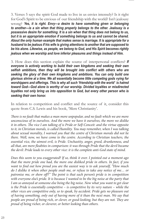3. Verses 5 says the spirit God made to live in us envies intensely? Is it right for God's Spirit to be envious of our friendship with the world? Isn't jealousy wrong? *Yes, it is right. Envy—a desire to have something given or belonging to another—is a sin when that thing properly belongs to the other. Jealousy is a possessive desire for something. It is a sin when that thing does not belong to us, but it is an appropriate emotion if something belongs to us and cannot be shared. About the only human example that makes sense is marriage. It is appropriate for a husband to be jealous if his wife is giving attentions to another that are supposed to be his alone. Likewise, as people, we belong to God, and His Spirit becomes rightly jealous when we worship and love inferior pleasures and things instead of Him.*

3. How does this section explain the source of interpersonal conflicts? *If*  everyone is actively working to build their own kingdoms and seeking their own *selfish ambitions, then they will be brought into conflict with others who are seeking the glory of their own kingdoms and ambitions. You can only build one glorious shrine at a time. We all essentially become little competing gods vying for worshippers and offerings. This is why all such 'friendship with the world' is hatred toward God—God alone is worthy of our worship. Divided loyalties or misdirected loyalties not only bring us into opposition to God, but every other person who is seeking their own honor.* 

In relation to competition and conflict and the source of it, consider this quote from C.S. Lewis and his book, 'Mere Christianity'.

*There is no fault that makes a man more unpopular, and no fault which we are more unconscious of in ourselves. And the more we have it ourselves, the more we dislike it in others. The vice I am talking of is Pride or Self-Conceit: and the virtue opposite to it, in Christian morals, is called Humility. You may remember, when I was talking about sexual morality, I warned you that the centre of Christian morals did not lie there. Well, now, we have come to the centre. According to Christian teachers, the essential vice, the utmost evil, is Pride. Unchastity, anger, greed, drunkenness, and all that, are mere fleabites in comparison: it was through Pride that the devil became the devil: Pride leads to every other vice: it is the complete anti-God state of mind.* 

*Does this seem to you exaggerated? If so, think it over. I pointed out a moment ago that the more pride one had, the more one disliked pride in others. In fact, if you want to find out how proud you are the easiest way is to ask yourself, "How much do I dislike it when other people snub me, or refuse to take any notice of me… or patronise me, or show off?" The point is that each person's pride is in competition with everyone else's pride. It is because I wanted to be the big noise at the party that I am so annoyed at someone else being the big noise. Now what you want to get clear is the Pride is essentially competitive – is competitive by its very nature – while the other vices are competitive only, so to speak, by accident. Pride gets no pleasure out of having something, only out of having more of it than the next man. We say that people are proud of being rich, or clever, or good-looking, but they are not. They are proud of being richer, or cleverer, or better looking than others.*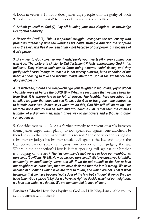4. Look at verses 7-10. How does James urge people who are guilty of such 'friendship with the world' to respond? Describe the specifics.

*1. Submit yourself to God (7). Lay off building your own Kingdom—acknowledge His rightful authority.*

*2. Resist the Devil (7). This is a spiritual struggle—recognize the real enemy who promotes 'friendship with the world' as his battle strategy! Amazing the scripture says the Devil will flee if we resist him – not because of our power, but because of God's power.*

*3. Draw near to God / cleanse your hands/ purify your hearts (8) – Seek communion with God. The picture is similar to Old Testament Priests approaching God in his holiness. They cleanse their hands (stop doing external sinful deeds) and they purify their hearts (recognize that sin is not merely outward, but a condition of our heart, a choosing to love and worship things inferior to God in His excellence and glory and beauty.*

*4. Be wretched, mourn and weep—change your laughter to mourning / joy to gloom / humble yourself before the LORD (9) – When we recognize that we have been far from God, it is appropriate to be full of sorrow. The laughter here described is a satisfied laughter that does not see its need for God or His grace – the contrast is to humble ourselves. James says when we do this, God Himself will lift us up. Our restored hope and joy will be solid and grounded in Him, rather than the clueless*  laughter of a drunken man, which gives way to hangovers and a thousand other *consequences.*

5. Consider verses 11-12. As a further remedy to prevent quarrels between them, James urges them plainly to not speak evil against one another. He then backs up that command with this reason: 'The one who speaks against a brother or judges his brother speaks evil against the law and judges the law.' So we cannot speak evil against our brother without judging the law. Where is the connection? How is it that speaking evil against our brother is a judging of the law? *The law commands that we are to love our neighbor as ourselves (Leviticus 19:19). How do we love ourselves? We love ourselves faithfully, constantly, unconditionally, warts and all. If we do not submit to the law to love our neighbors as ourselves, then we have declared that the law is wrong. We have decided in our minds which laws are right to follow, and which are not. That is what he means that we have become 'not a doer of the law, but a 'judge'. If we do that, we have taken God's place (12a), for we have no right to decide which of our neighbors we love and which we do not. We are commanded to love all men.*

**Business Block:** How does loyalty to God and His Kingdom enable you to avoid quarrels with others?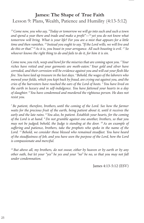#### **James: The Shape of True Faith**

Lesson 9: Plans, Wealth, Patience and Humility (4:13-5:12)

*13 Come now, you who say, "Today or tomorrow we will go into such and such a town and spend a year there and trade and make a profit"—14 yet you do not know what tomorrow will bring. What is your life? For you are a mist that appears for a little time and then vanishes. 15 Instead you ought to say, "If the Lord wills, we will live and do this or that." 16 As it is, you boast in your arrogance. All such boasting is evil. 17 So whoever knows the right thing to do and fails to do it, for him it is sin.*

*Come now, you rich, weep and howl for the miseries that are coming upon you. 2 Your riches have rotted and your garments are moth-eaten.3 Your gold and silver have corroded, and their corrosion will be evidence against you and will eat your flesh like fire. You have laid up treasure in the last days. 4 Behold, the wages of the laborers who mowed your fields, which you kept back by fraud, are crying out against you, and the cries of the harvesters have reached the ears of the Lord of hosts. 5 You have lived on the earth in luxury and in self-indulgence. You have fattened your hearts in a day of slaughter. 6 You have condemned and murdered the righteous person. He does not resist you.*

*7 Be patient, therefore, brothers, until the coming of the Lord. See how the farmer waits for the precious fruit of the earth, being patient about it, until it receives the early and the late rains. 8 You also, be patient. Establish your hearts, for the coming of the Lord is at hand. 9 Do not grumble against one another, brothers, so that you may not be judged; behold, the Judge is standing at the door.* <sup>10</sup> As an example of *suffering and patience, brothers, take the prophets who spoke in the name of the Lord. 11 Behold, we consider those blessed who remained steadfast. You have heard of the steadfastness of Job, and you have seen the purpose of the Lord, how the Lord is compassionate and merciful.*

*12 But above all, my brothers, do not swear, either by heaven or by earth or by any other oath, but let your "yes" be yes and your "no" be no, so that you may not fall under condemnation.*

James 4:13-5:12 (ESV)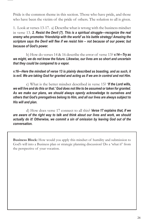Pride is the common theme in this section. Those who have pride, and those who have been the victim of the pride of others. The solution to all is given.

1. Look at verses 13-17. a) Describe what is wrong with the business mindset in verse 13. *2. Resist the Devil (7). This is a spiritual struggle—recognize the real enemy who promotes 'friendship with the world' as his battle strategy! Amazing the scripture says the Devil will flee if we resist him – not because of our power, but because of God's power.*

b) How do verses 14 & 16 describe the error of verse 13? *v.14—Try as we might, we do not know the future. Likewise, our lives are so short and uncertain that they could be compared to a vapor.*

*v.16—Here the mindset of verse 13 is plainly described as boasting, and as such, it is evil. We are taking God for granted and acting as if we are in control and not Him.*

c) What is the better mindset described in verse 15? *'If the Lord wills, we will live and do this or that.' God does not like to be assumed or taken for granted. As we make our plans, we should always openly acknowledge to ourselves and others that God's prerogatives belong to Him, and all our lives are always subject to His will and plan.*

d) How does verse 17 connect to all this? *Verse 17 explains that, if we are aware of the right way to talk and think about our lives and work, we should actually do it! Otherwise, we commit a sin of omission by leaving God out of the conversation.*

**Business Block:** How would you apply this mindset of humility and submission to God's will into a Business plan or strategic planning discussion? Do a 'what if' from the perspective of your vocation.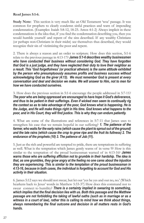#### **Read James 5:1-6.**

**Study Note:** This section is very much like an Old Testament 'woe' passage. It was common for prophets to clearly condemn sinful practices and warn of impending condemnation. (Examples: Isaiah 5:8-12, 18-23. Amos 4:1-2) Always implicit in these condemnations is the idea that, if you find the condemnation describing you, then you would humble yourself and repent of the sins described. If any wealthy Christians (or perhaps non-Christians in their midst) see themselves thus described, they would recognize their sin of victimizing the poor and repent.

2. There is always a reason and an order to scripture. How does this section, 5:1-6 relate to the previous passage in 4:13-17? *James 5:1-6 describes wealthy businessmen*  who have conducted their business without considering God. They have forgotten *that God is a just judge, and they have neglected their duty to love their neighbor as a result. This 'God forgetfulness' (or practical atheism) is the same attitude exhibited by the person who presumptuously assumes profits and business success without acknowledging God as the giver (4:13). We must remember God is present at every conversation and deal and decision we make. We will answer to Him, not to men for how we have conducted ourselves.* 

3. How does the previous section in 5:1-6 encourage the people addressed in 5:7-11? *The poor who are being oppressed are encouraged to have hope it God's deliverance,*  and thus to be patient in their sufferings. Even if wicked men seem to continually rig *the contest so as to take advantage of the poor, God knows what is happening. He is the Judge, and He will make things right in His time. God knows what happens to the poor, and in His Court, they will find justice. This is why they can endure patiently.* 

4. What are some of the illustrations and references in 5:7-11 that James uses to strengthen his case that we remain hopeful in our suffering? *1. The patience of the*  farmer, who waits for the early rains (which cause the plant to sprout out of the ground) *and the late rains (which cause the crop to grow ripe and the fruit its fullness) 2. The endurance of the prophets (10) 3. The patience of Job (11).*

5. Just as the rich and powerful are tempted to pride, there are temptations in suffering as well. What is the temptation which James gently warns of in verse 9? How is this similar to the temptation of the proud businessman warned of in 4:13-16? *James warns those who are suffering affliction not to grumble in their hardship. The idea is that, as one grumbles, they grow angry at the feeling no one cares about the injustice they are experiencing. This is similar to the temptation of the proud businessman in 4:13-16, because in both cases, the individual is forgetting to account for God and His activity in their situation.*

6. James 5:12 says we should not swear, but let our 'yes be yes and our no, no.' (Which hearkens back to Jesus' words in Matthew 5:33-37) How does this command not to swear connect to humility? *There is a certainty implied in swearing to something, which implies that the final decision lies with us. Both this passage and the Matthew passage are not forbidding the taking of lawful oaths (such as in marriage or as a witness in a court of law), rather this is calling to mind how we think about things, always remembering the final outcome and decision in all matters rests in God's hands.*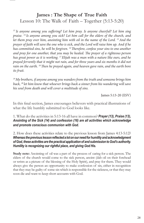## **James : The Shape of True Faith** Lesson 10: The Walk of Faith – Together (5:13-5:20)

*13 Is anyone among you suffering? Let him pray. Is anyone cheerful? Let him sing praise. 14 Is anyone among you sick? Let him call for the elders of the church, and let them pray over him, anointing him with oil in the name of the Lord. 15 And the prayer of faith will save the one who is sick, and the Lord will raise him up. And if he has committed sins, he will be forgiven. 16 Therefore, confess your sins to one another and pray for one another, that you may be healed. The prayer of a righteous person has great power as it is working. 17 Elijah was a man with a nature like ours, and he prayed fervently that it might not rain, and for three years and six months it did not rain on the earth. 18 Then he prayed again, and heaven gave rain, and the earth bore its fruit.*

*19 My brothers, if anyone among you wanders from the truth and someone brings him back, 20 let him know that whoever brings back a sinner from his wandering will save his soul from death and will cover a multitude of sins.*

James 5:13-20 (ESV)

In this final section, James encourages believers with practical illustrations of what the life humbly submitted to God looks like.

1. What do the activities in 5:13-16 all have in common? *Prayer (13), Praise (13), Anointing of the Sick (14) and confession (16) are all activities which acknowledge and promote conscious communion with God.* 

2. How does these activities relate to the previous lesson from James 4:13-5:12? *Whereas the previous lesson reflected a lot on our need for humility and acknowledgment of God, these activities are the practical application of and submission to God's authority. Humility is recognizing our rightful place, and giving God His.*

**Study note:** Anointing of oil was a part of the process of caring for a sick person. The elders of the church would come to the sick person, anoint (dab oil on their forehead or wrists as a picture of the blessing of the Holy Spirit), and pray for them. They would always give the person an opportunity to make confession of sin, either in recognition that they may be guilty of some sin which is responsible for the sickness, or that they may soon die and want to keep short accounts with God.